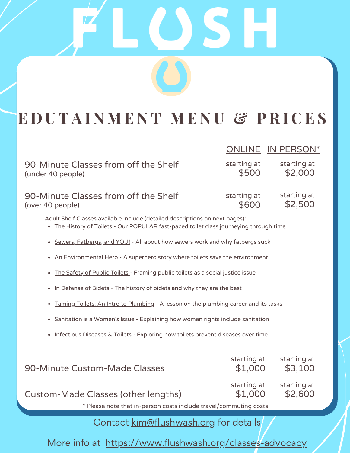# **E D U T A I N M E N T M E N U & P R I C E S**

OS

|                                                                                                                                                                        | <b>ONLINE</b>          | IN PERSON*             |
|------------------------------------------------------------------------------------------------------------------------------------------------------------------------|------------------------|------------------------|
| 90-Minute Classes from off the Shelf<br>(under 40 people)                                                                                                              | starting at<br>\$500   | starting at<br>\$2,000 |
| 90-Minute Classes from off the Shelf<br>(over 40 people)                                                                                                               | starting at<br>\$600   | starting at<br>\$2,500 |
| Adult Shelf Classes available include (detailed descriptions on next pages):<br>. The History of Toilets - Our POPULAR fast-paced toilet class journeying through time |                        |                        |
| Sewers, Fatbergs, and YOU! - All about how sewers work and why fatbergs suck<br>$\bullet$                                                                              |                        |                        |
| An Environmental Hero - A superhero story where toilets save the environment                                                                                           |                        |                        |
| The Safety of Public Toilets - Framing public toilets as a social justice issue                                                                                        |                        |                        |
| In Defense of Bidets - The history of bidets and why they are the best                                                                                                 |                        |                        |
| Taming Toilets: An Intro to Plumbing - A lesson on the plumbing career and its tasks<br>$\bullet$                                                                      |                        |                        |
| Sanitation is a Women's Issue - Explaining how women rights include sanitation<br>$\bullet$                                                                            |                        |                        |
| Infectious Diseases & Toilets - Exploring how toilets prevent diseases over time                                                                                       |                        |                        |
|                                                                                                                                                                        |                        |                        |
| 90-Minute Custom-Made Classes                                                                                                                                          | starting at<br>\$1,000 | starting at<br>\$3,100 |
| Custom-Made Classes (other lengths)                                                                                                                                    | starting at<br>\$1,000 | starting at<br>\$2,600 |
| * Please note that in-person costs include travel/commuting costs                                                                                                      |                        |                        |

Contact kim@flushwash.org for details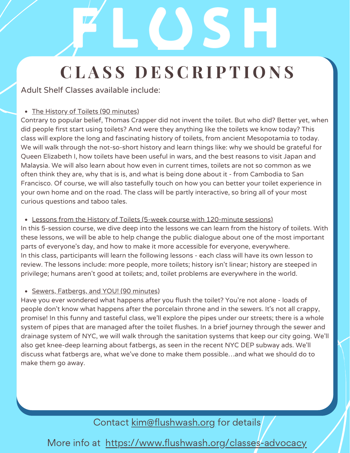Adult Shelf Classes available include:

## • The History of Toilets (90 minutes)

Contrary to popular belief, Thomas Crapper did not invent the toilet. But who did? Better yet, when did people first start using toilets? And were they anything like the toilets we know today? This class will explore the long and fascinating history of toilets, from ancient Mesopotamia to today. We will walk through the not-so-short history and learn things like: why we should be grateful for Queen Elizabeth I, how toilets have been useful in wars, and the best reasons to visit Japan and Malaysia. We will also learn about how even in current times, toilets are not so common as we often think they are, why that is is, and what is being done about it - from Cambodia to San Francisco. Of course, we will also tastefully touch on how you can better your toilet experience in your own home and on the road. The class will be partly interactive, so bring all of your most curious questions and taboo tales.

## Lessons from the History of Toilets (5-week course with 120-minute sessions)

In this 5-session course, we dive deep into the lessons we can learn from the history of toilets. With these lessons, we will be able to help change the public dialogue about one of the most important parts of everyone's day, and how to make it more accessible for everyone, everywhere. In this class, participants will learn the following lessons - each class will have its own lesson to review. The lessons include: more people, more toilets; history isn't linear; history are steeped in privilege; humans aren't good at toilets; and, toilet problems are everywhere in the world.

## • Sewers, Fatbergs, and YOU! (90 minutes)

Have you ever wondered what happens after you flush the toilet? You're not alone - loads of people don't know what happens after the porcelain throne and in the sewers. It's not all crappy, promise! In this funny and tasteful class, we'll explore the pipes under our streets; there is a whole system of pipes that are managed after the toilet flushes. In a brief journey through the sewer and drainage system of NYC, we will walk through the sanitation systems that keep our city going. We'll also get knee-deep learning about fatbergs, as seen in the recent NYC DEP subway ads. We'll discuss what fatbergs are, what we've done to make them possible…and what we should do to make them go away.

## Contact kim@flushwash.org for details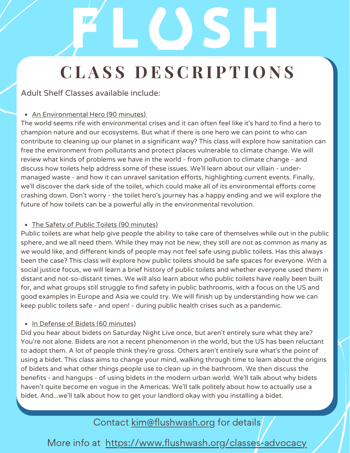Adult Shelf Classes available include:

## An Environmental Hero (90 minutes)

The world seems rife with environmental crises and it can often feel like it's hard to find a hero to champion nature and our ecosystems. But what if there is one hero we can point to who can contribute to cleaning up our planet in a significant way? This class will explore how sanitation can free the environment from pollutants and protect places vulnerable to climate change. We will review what kinds of problems we have in the world - from pollution to climate change - and discuss how toilets help address some of these issues. We'll learn about our villain - undermanaged waste - and how it can unravel sanitation efforts, highlighting current events. Finally, we'll discover the dark side of the toilet, which could make all of its environmental efforts come crashing down. Don't worry - the toilet hero's journey has a happy ending and we will explore the future of how toilets can be a powerful ally in the environmental revolution.

## • The Safety of Public Toilets (90 minutes)

Public toilets are what help give people the ability to take care of themselves while out in the public sphere, and we all need them. While they may not be new, they still are not as common as many as we would like, and different kinds of people may not feel safe using public toilets. Has this always been the case? This class will explore how public toilets should be safe spaces for everyone. With a social justice focus, we will learn a brief history of public toilets and whether everyone used them in distant and not-so-distant times. We will also learn about who public toilets have really been built for, and what groups still struggle to find safety in public bathrooms, with a focus on the US and good examples in Europe and Asia we could try. We will finish up by understanding how we can keep public toilets safe - and open! - during public health crises such as a pandemic.

## • In Defense of Bidets (60 minutes)

Did you hear about bidets on Saturday Night Live once, but aren't entirely sure what they are? You're not alone. Bidets are not a recent phenomenon in the world, but the US has been reluctant to adopt them. A lot of people think they're gross. Others aren't entirely sure what's the point of using a bidet. This class aims to change your mind, walking through time to learn about the origins of bidets and what other things people use to clean up in the bathroom. We then discuss the benefits - and hangups - of using bidets in the modern urban world. We'll talk about why bidets haven't quite become en vogue in the Americas. We'll talk politely about how to actually use a bidet. And...we'll talk about how to get your landlord okay with you installing a bidet.

## Contact kim@flushwash.org for details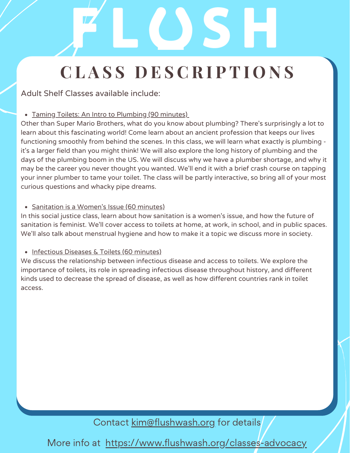Adult Shelf Classes available include:

## • Taming Toilets: An Intro to Plumbing (90 minutes)

Other than Super Mario Brothers, what do you know about plumbing? There's surprisingly a lot to learn about this fascinating world! Come learn about an ancient profession that keeps our lives functioning smoothly from behind the scenes. In this class, we will learn what exactly is plumbing it's a larger field than you might think! We will also explore the long history of plumbing and the days of the plumbing boom in the US. We will discuss why we have a plumber shortage, and why it may be the career you never thought you wanted. We'll end it with a brief crash course on tapping your inner plumber to tame your toilet. The class will be partly interactive, so bring all of your most curious questions and whacky pipe dreams.

## • Sanitation is a Women's Issue (60 minutes)

In this social justice class, learn about how sanitation is a women's issue, and how the future of sanitation is feminist. We'll cover access to toilets at home, at work, in school, and in public spaces. We'll also talk about menstrual hygiene and how to make it a topic we discuss more in society.

## • Infectious Diseases & Toilets (60 minutes)

We discuss the relationship between infectious disease and access to toilets. We explore the importance of toilets, its role in spreading infectious disease throughout history, and different kinds used to decrease the spread of disease, as well as how different countries rank in toilet access.

Contact kim@flushwash.org for details